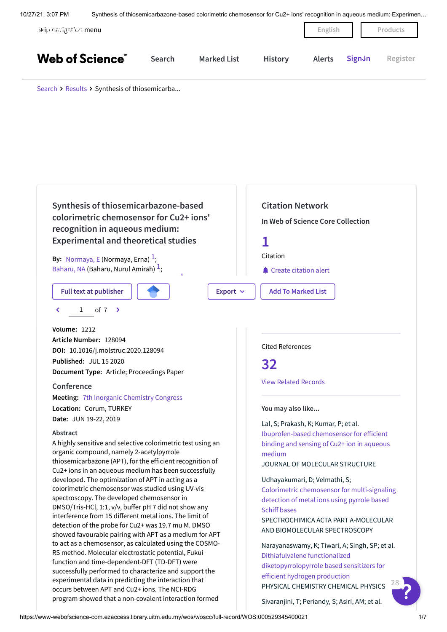



Sivaranjini, T; Periandy, S; Asiri, AM; et al.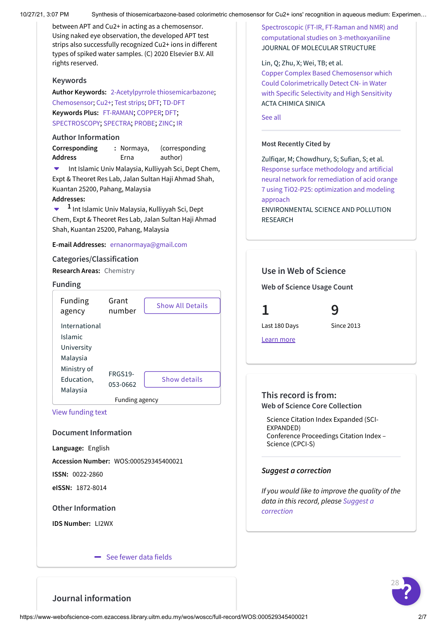10/27/21, 3:07 PM Synthesis of thiosemicarbazone-based colorimetric chemosensor for Cu2+ ions' recognition in aqueous medium: Experimen…

between APT and Cu2+ in acting as a chemosensor. Using naked eye observation, the developed APT test strips also successfully recognized Cu2+ ions in different types of spiked water samples. (C) 2020 Elsevier B.V. All rights reserved.

#### **Keywords**

**Author Keywords:** 2-Acetylpyrrole [thiosemicarbazone](https://www-webofscience-com.ezaccess.library.uitm.edu.my/wos/woscc/general-summary?queryJson=%5B%7B%22rowBoolean%22:null,%22rowField%22:%22AK%22,%22rowText%22:%22%5C%222-Acetylpyrrole%20thiosemicarbazone%5C%22%22%7D%5D&eventMode=oneClickSearch); [Chemosensor](https://www-webofscience-com.ezaccess.library.uitm.edu.my/wos/woscc/general-summary?queryJson=%5B%7B%22rowBoolean%22:null,%22rowField%22:%22AK%22,%22rowText%22:%22%5C%22Chemosensor%5C%22%22%7D%5D&eventMode=oneClickSearch); [Cu2+](https://www-webofscience-com.ezaccess.library.uitm.edu.my/wos/woscc/general-summary?queryJson=%5B%7B%22rowBoolean%22:null,%22rowField%22:%22AK%22,%22rowText%22:%22%5C%22Cu2%2B%5C%22%22%7D%5D&eventMode=oneClickSearch); Test [strips;](https://www-webofscience-com.ezaccess.library.uitm.edu.my/wos/woscc/general-summary?queryJson=%5B%7B%22rowBoolean%22:null,%22rowField%22:%22AK%22,%22rowText%22:%22%5C%22Test%20strips%5C%22%22%7D%5D&eventMode=oneClickSearch) [DFT](https://www-webofscience-com.ezaccess.library.uitm.edu.my/wos/woscc/general-summary?queryJson=%5B%7B%22rowBoolean%22:null,%22rowField%22:%22AK%22,%22rowText%22:%22%5C%22DFT%5C%22%22%7D%5D&eventMode=oneClickSearch); [TD-DFT](https://www-webofscience-com.ezaccess.library.uitm.edu.my/wos/woscc/general-summary?queryJson=%5B%7B%22rowBoolean%22:null,%22rowField%22:%22AK%22,%22rowText%22:%22%5C%22TD-DFT%5C%22%22%7D%5D&eventMode=oneClickSearch) **Keywords Plus:** [FT-RAMAN](https://www-webofscience-com.ezaccess.library.uitm.edu.my/wos/woscc/general-summary?queryJson=%5B%7B%22rowBoolean%22:null,%22rowField%22:%22KP%22,%22rowText%22:%22%5C%22FT-RAMAN%5C%22%22%7D%5D&eventMode=oneClickSearch); [COPPER](https://www-webofscience-com.ezaccess.library.uitm.edu.my/wos/woscc/general-summary?queryJson=%5B%7B%22rowBoolean%22:null,%22rowField%22:%22KP%22,%22rowText%22:%22%5C%22COPPER%5C%22%22%7D%5D&eventMode=oneClickSearch); [DFT](https://www-webofscience-com.ezaccess.library.uitm.edu.my/wos/woscc/general-summary?queryJson=%5B%7B%22rowBoolean%22:null,%22rowField%22:%22KP%22,%22rowText%22:%22%5C%22DFT%5C%22%22%7D%5D&eventMode=oneClickSearch); [SPECTROSCOPY](https://www-webofscience-com.ezaccess.library.uitm.edu.my/wos/woscc/general-summary?queryJson=%5B%7B%22rowBoolean%22:null,%22rowField%22:%22KP%22,%22rowText%22:%22%5C%22SPECTROSCOPY%5C%22%22%7D%5D&eventMode=oneClickSearch); [SPECTRA](https://www-webofscience-com.ezaccess.library.uitm.edu.my/wos/woscc/general-summary?queryJson=%5B%7B%22rowBoolean%22:null,%22rowField%22:%22KP%22,%22rowText%22:%22%5C%22SPECTRA%5C%22%22%7D%5D&eventMode=oneClickSearch); [PROBE](https://www-webofscience-com.ezaccess.library.uitm.edu.my/wos/woscc/general-summary?queryJson=%5B%7B%22rowBoolean%22:null,%22rowField%22:%22KP%22,%22rowText%22:%22%5C%22PROBE%5C%22%22%7D%5D&eventMode=oneClickSearch); [ZINC](https://www-webofscience-com.ezaccess.library.uitm.edu.my/wos/woscc/general-summary?queryJson=%5B%7B%22rowBoolean%22:null,%22rowField%22:%22KP%22,%22rowText%22:%22%5C%22ZINC%5C%22%22%7D%5D&eventMode=oneClickSearch); [IR](https://www-webofscience-com.ezaccess.library.uitm.edu.my/wos/woscc/general-summary?queryJson=%5B%7B%22rowBoolean%22:null,%22rowField%22:%22KP%22,%22rowText%22:%22%5C%22IR%5C%22%22%7D%5D&eventMode=oneClickSearch)

### **Author Information**

**Corresponding Address :** Normaya, Erna (corresponding author)

Int Islamic Univ Malaysia, Kulliyyah Sci, Dept Chem, Expt & Theoret Res Lab, Jalan Sultan Haji Ahmad Shah, Kuantan 25200, Pahang, Malaysia

#### **Addresses:**

**1** Int Islamic Univ Malaysia, Kulliyyah Sci, Dept Chem, Expt & Theoret Res Lab, Jalan Sultan Haji Ahmad Shah, Kuantan 25200, Pahang, Malaysia

#### **E-mail Addresses:** [ernanormaya@gmail.com](mailto:ernanormaya@gmail.com)

# **Categories/Classification Research Areas:** Chemistry

#### **Funding**

| Funding<br>agency                                  | Grant<br>number     | <b>Show All Details</b> |
|----------------------------------------------------|---------------------|-------------------------|
| International<br>Islamic<br>University<br>Malaysia |                     |                         |
| Ministry of<br>Education,<br>Malaysia              | FRGS19-<br>053-0662 | Show details            |
|                                                    | Funding agency      |                         |

View funding text

#### **Document Information**

**Language:** English

**Accession Number:** WOS:000529345400021

**ISSN:** 0022-2860

**eISSN:** 1872-8014

**Other Information**

**IDS Number:** LI2WX

See fewer data fields

Spectroscopic (FT-IR, FT-Raman and NMR) and computational studies on [3-methoxyaniline](https://www-webofscience-com.ezaccess.library.uitm.edu.my/wos/woscc/full-record/WOS:000330147900024) JOURNAL OF MOLECULAR STRUCTURE

Lin, Q; Zhu, X; Wei, TB; et al. Copper Complex Based Chemosensor which Could [Colorimetrically](https://www-webofscience-com.ezaccess.library.uitm.edu.my/wos/woscc/full-record/WOS:000328574000009) Detect CN- in Water with Specific Selectivity and High Sensitivity ACTA CHIMICA SINICA

[See](https://www-webofscience-com.ezaccess.library.uitm.edu.my/wos/woscc/summary/52efd43e-12e9-4fa9-b081-89ae402e2c79-0f5ad5b0/relevance/1) all

#### **Most Recently Cited by**

Zulfiqar, M; Chowdhury, S; Sufian, S; et al. Response surface [methodology](https://www-webofscience-com.ezaccess.library.uitm.edu.my/wos/alldb/full-record/WOS:000541061700003) and artificial neural network for remediation of acid orange 7 using TiO2-P25: optimization and modeling approach ENVIRONMENTAL SCIENCE AND POLLUTION RESEARCH

# **Use in Web of Science**

**Web of Science Usage Count**

Last 180 Days Since 2013



Learn more

## **This record is from: Web of Science Core Collection**

Science Citation Index Expanded (SCI-EXPANDED) Conference Proceedings Citation Index – Science (CPCI-S)

## **Suggest a correction**

If you would like to improve the quality of the [data in this record, please](https://www-webofscience-com.ezaccess.library.uitm.edu.my/wos) Suggest a correction



**Journal information**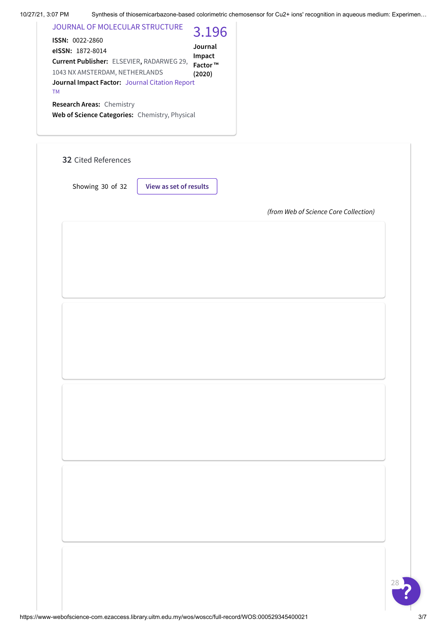10/27/21, 3:07 PM Synthesis of thiosemicarbazone-based colorimetric chemosensor for Cu2+ ions' recognition in aqueous medium: Experimen…

| ISSN: 0022-2860<br>eISSN: 1872-8014<br>Current Publisher: ELSEVIER, RADARWEG 29,<br>1043 NX AMSTERDAM, NETHERLANDS<br>Journal Impact Factor: Journal Citation Report<br><b>TM</b><br>Research Areas: Chemistry<br>Web of Science Categories: Chemistry, Physical | JOURNAL OF MOLECULAR STRUCTURE<br>3.196<br>Journal<br>Impact<br>Factor™<br>(2020) |                                       |
|------------------------------------------------------------------------------------------------------------------------------------------------------------------------------------------------------------------------------------------------------------------|-----------------------------------------------------------------------------------|---------------------------------------|
| 32 Cited References                                                                                                                                                                                                                                              |                                                                                   |                                       |
| Showing 30 of 32                                                                                                                                                                                                                                                 | View as set of results                                                            | (from Web of Science Core Collection) |
|                                                                                                                                                                                                                                                                  |                                                                                   |                                       |
|                                                                                                                                                                                                                                                                  |                                                                                   |                                       |
|                                                                                                                                                                                                                                                                  |                                                                                   |                                       |
|                                                                                                                                                                                                                                                                  |                                                                                   |                                       |
|                                                                                                                                                                                                                                                                  |                                                                                   |                                       |
|                                                                                                                                                                                                                                                                  |                                                                                   |                                       |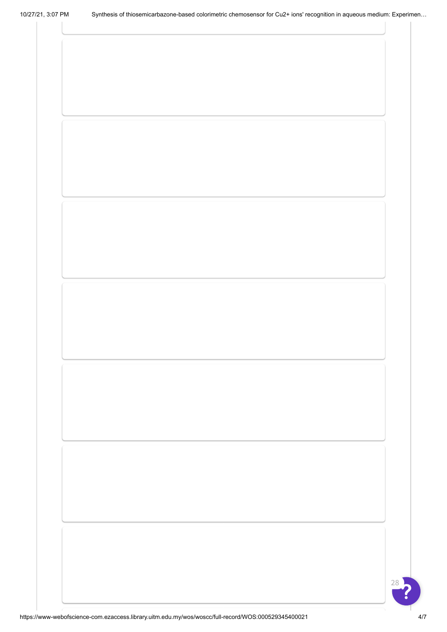|  | $\frac{28}{1}$ |
|--|----------------|
|  | $\zeta$        |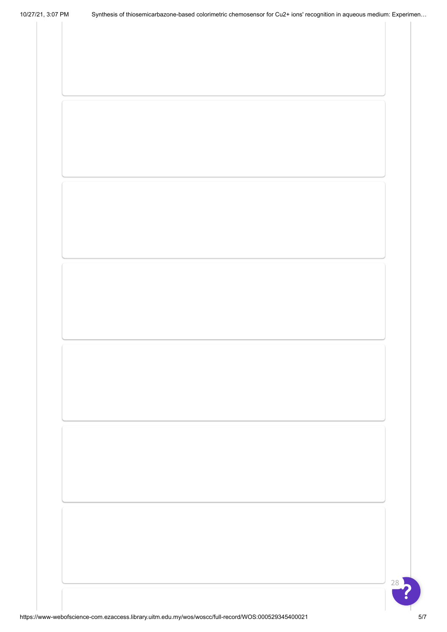| 28 |
|----|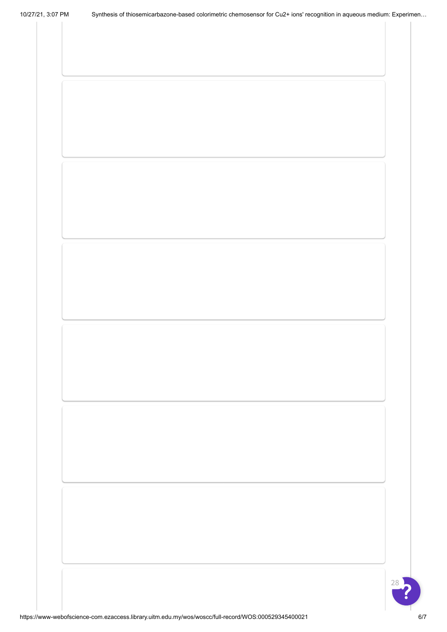|  |  | 28 |
|--|--|----|